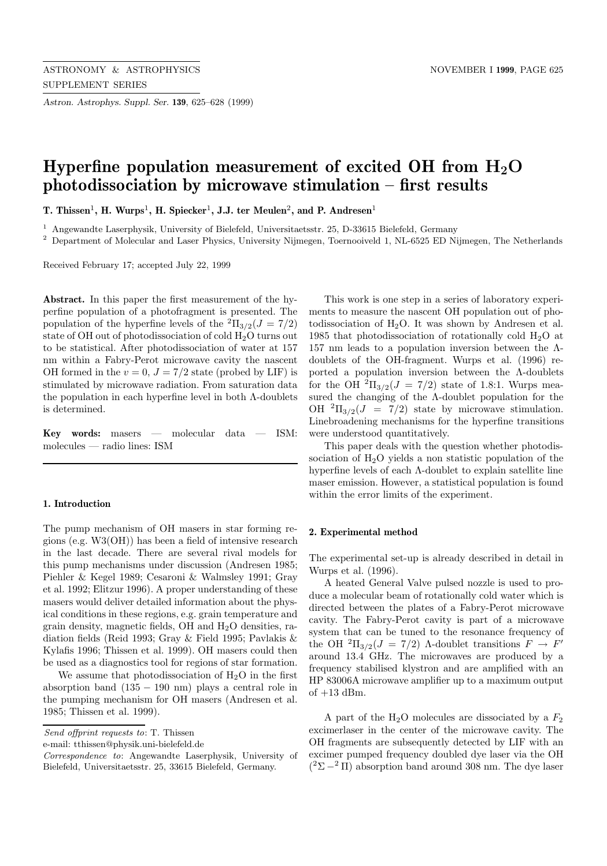*Astron. Astrophys. Suppl. Ser.* **139**, 625–628 (1999)

# **Hyperfine population measurement of excited OH from H<sub>2</sub>O photodissociation by microwave stimulation – first results**

**T.** Thissen<sup>1</sup>, **H.** Wurps<sup>1</sup>, **H.** Spiecker<sup>1</sup>, **J.J.** ter Meulen<sup>2</sup>, and **P.** Andresen<sup>1</sup>

<sup>1</sup> Angewandte Laserphysik, University of Bielefeld, Universitaetsstr. 25, D-33615 Bielefeld, Germany

<sup>2</sup> Department of Molecular and Laser Physics, University Nijmegen, Toernooiveld 1, NL-6525 ED Nijmegen, The Netherlands

Received February 17; accepted July 22, 1999

**Abstract.** In this paper the first measurement of the hyperfine population of a photofragment is presented. The population of the hyperfine levels of the  ${}^{2} \Pi_{3/2}(J = 7/2)$ state of OH out of photodissociation of cold H2O turns out to be statistical. After photodissociation of water at 157 nm within a Fabry-Perot microwave cavity the nascent OH formed in the  $v = 0$ ,  $J = 7/2$  state (probed by LIF) is stimulated by microwave radiation. From saturation data the population in each hyperfine level in both  $\Lambda$ -doublets is determined.

**Key words:** masers — molecular data — ISM: molecules — radio lines: ISM

## **1. Introduction**

The pump mechanism of OH masers in star forming regions (e.g. W3(OH)) has been a field of intensive research in the last decade. There are several rival models for this pump mechanisms under discussion (Andresen 1985; Piehler & Kegel 1989; Cesaroni & Walmsley 1991; Gray et al. 1992; Elitzur 1996). A proper understanding of these masers would deliver detailed information about the physical conditions in these regions, e.g. grain temperature and grain density, magnetic fields, OH and  $H<sub>2</sub>O$  densities, radiation fields (Reid 1993; Gray & Field 1995; Pavlakis & Kylafis 1996; Thissen et al. 1999). OH masers could then be used as a diagnostics tool for regions of star formation.

We assume that photodissociation of  $H_2O$  in the first absorption band  $(135 - 190)$  nm) plays a central role in the pumping mechanism for OH masers (Andresen et al. 1985; Thissen et al. 1999).

Send offprint requests to: T. Thissen

e-mail: tthissen@physik.uni-bielefeld.de

This work is one step in a series of laboratory experiments to measure the nascent OH population out of photodissociation of  $H_2O$ . It was shown by Andresen et al. 1985 that photodissociation of rotationally cold  $H_2O$  at 157 nm leads to a population inversion between the  $Λ$ doublets of the OH-fragment. Wurps et al. (1996) reported a population inversion between the Λ-doublets for the OH  ${}^{2}$ Π<sub>3/2</sub>( $J = 7/2$ ) state of 1.8:1. Wurps measured the changing of the Λ-doublet population for the OH  ${}^{2}\Pi_{3/2}(J = 7/2)$  state by microwave stimulation. Linebroadening mechanisms for the hyperfine transitions were understood quantitatively.

This paper deals with the question whether photodissociation of  $H_2O$  yields a non statistic population of the hyperfine levels of each Λ-doublet to explain satellite line maser emission. However, a statistical population is found within the error limits of the experiment.

### **2. Experimental method**

The experimental set-up is already described in detail in Wurps et al. (1996).

A heated General Valve pulsed nozzle is used to produce a molecular beam of rotationally cold water which is directed between the plates of a Fabry-Perot microwave cavity. The Fabry-Perot cavity is part of a microwave system that can be tuned to the resonance frequency of the OH  ${}^{2}\Pi_{3/2}(J = 7/2)$  A-doublet transitions  $F \rightarrow F'$ around 13.4 GHz. The microwaves are produced by a frequency stabilised klystron and are amplified with an HP 83006A microwave amplifier up to a maximum output of  $+13$  dBm.

A part of the  $H_2O$  molecules are dissociated by a  $F_2$ excimerlaser in the center of the microwave cavity. The OH fragments are subsequently detected by LIF with an excimer pumped frequency doubled dye laser via the OH  $(2\Sigma - 2 \Pi)$  absorption band around 308 nm. The dye laser

Correspondence to: Angewandte Laserphysik, University of Bielefeld, Universitaetsstr. 25, 33615 Bielefeld, Germany.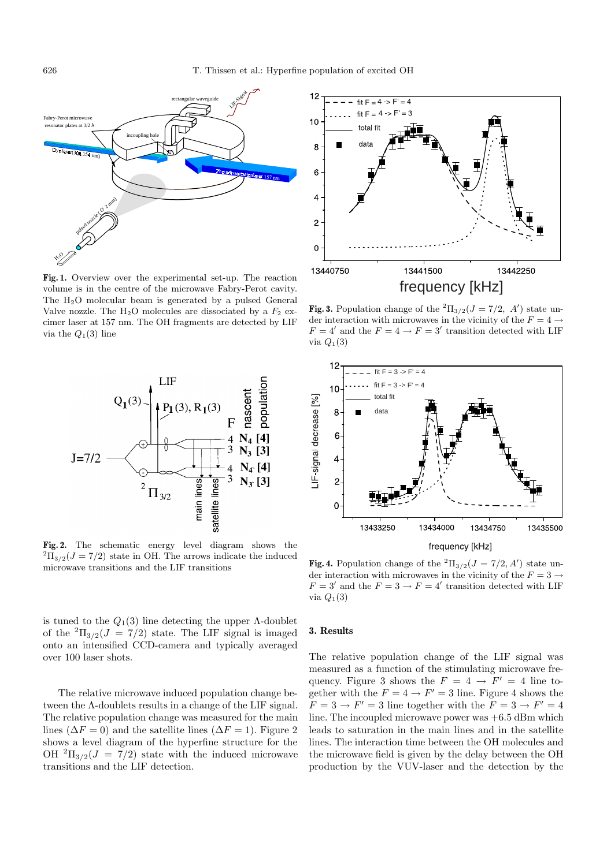

**Fig. 1.** Overview over the experimental set-up. The reaction volume is in the centre of the microwave Fabry-Perot cavity. The H<sub>2</sub>O molecular beam is generated by a pulsed General Valve nozzle. The  $H_2O$  molecules are dissociated by a  $F_2$  excimer laser at 157 nm. The OH fragments are detected by LIF via the  $Q_1(3)$  line



**Fig. 2.** The schematic energy level diagram shows the  ${}^{2}\Pi_{3/2}(J = 7/2)$  state in OH. The arrows indicate the induced microwave transitions and the LIF transitions

is tuned to the  $Q_1(3)$  line detecting the upper  $\Lambda$ -doublet of the  ${}^{2} \Pi_{3/2}(J = 7/2)$  state. The LIF signal is imaged onto an intensified CCD-camera and typically averaged over 100 laser shots.

The relative microwave induced population change between the Λ-doublets results in a change of the LIF signal. The relative population change was measured for the main lines ( $\Delta F = 0$ ) and the satellite lines ( $\Delta F = 1$ ). Figure 2 shows a level diagram of the hyperfine structure for the OH  ${}^{2}$  $\Pi_{3/2}(J = 7/2)$  state with the induced microwave transitions and the LIF detection.



**Fig. 3.** Population change of the  ${}^{2} \Pi_{3/2}(J = 7/2, A')$  state under interaction with microwaves in the vicinity of the  $F = 4 \rightarrow$  $F = 4'$  and the  $F = 4 \rightarrow F = 3'$  transition detected with LIF via  $Q_1(3)$ 



**Fig. 4.** Population change of the  ${}^{2} \Pi_{3/2}(J = 7/2, A')$  state under interaction with microwaves in the vicinity of the  $F = 3 \rightarrow$  $F = 3'$  and the  $F = 3 \rightarrow F = 4'$  transition detected with LIF via  $Q_1(3)$ 

### **3. Results**

The relative population change of the LIF signal was measured as a function of the stimulating microwave frequency. Figure 3 shows the  $F = 4 \rightarrow F' = 4$  line together with the  $F = 4 \rightarrow F' = 3$  line. Figure 4 shows the  $F = 3 \rightarrow F' = 3$  line together with the  $F = 3 \rightarrow F' = 4$ line. The incoupled microwave power was  $+6.5$  dBm which leads to saturation in the main lines and in the satellite lines. The interaction time between the OH molecules and the microwave field is given by the delay between the OH production by the VUV-laser and the detection by the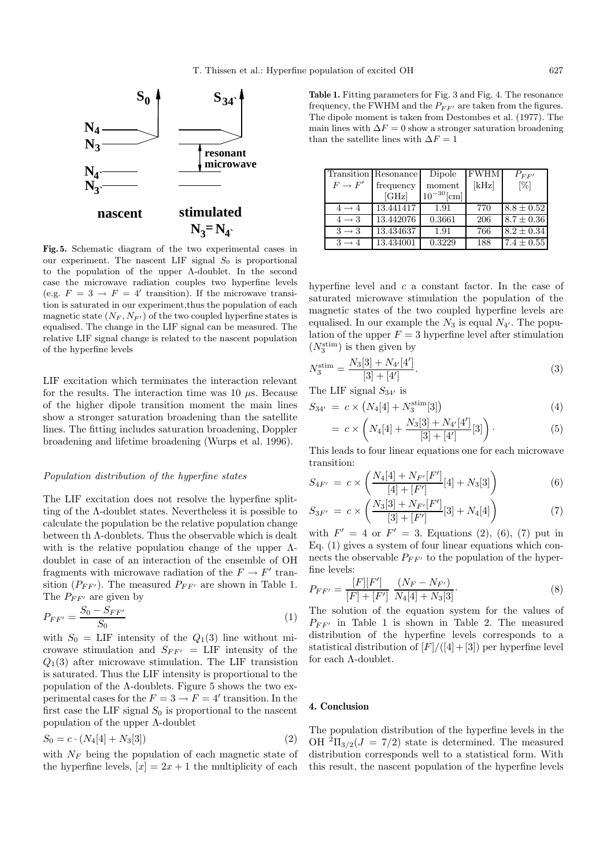

**Fig. 5.** Schematic diagram of the two experimental cases in our experiment. The nascent LIF signal  $S_0$  is proportional to the population of the upper Λ-doublet. In the second case the microwave radiation couples two hyperfine levels (e.g.  $F = 3 \rightarrow F = 4'$  transition). If the microwave transition is saturated in our experiment,thus the population of each magnetic state  $(N_F, N_{F'})$  of the two coupled hyperfine states is equalised. The change in the LIF signal can be measured. The relative LIF signal change is related to the nascent population of the hyperfine levels

LIF excitation which terminates the interaction relevant for the results. The interaction time was 10  $\mu$ s. Because of the higher dipole transition moment the main lines show a stronger saturation broadening than the satellite lines. The fitting includes saturation broadening, Doppler broadening and lifetime broadening (Wurps et al. 1996).

### Population distribution of the hyperfine states

The LIF excitation does not resolve the hyperfine splitting of the Λ-doublet states. Nevertheless it is possible to calculate the population be the relative population change between th Λ-doublets. Thus the observable which is dealt with is the relative population change of the upper  $\Lambda$ doublet in case of an interaction of the ensemble of OH fragments with microwave radiation of the  $F \to F'$  transition  $(P_{FF'} )$ . The measured  $P_{FF'}$  are shown in Table 1. The  $P_{FF'}$  are given by

$$
P_{FF'} = \frac{S_0 - S_{FF'}}{S_0} \tag{1}
$$

with  $S_0 = \text{LIF}$  intensity of the  $Q_1(3)$  line without microwave stimulation and  $S_{FF'}$  = LIF intensity of the  $Q_1(3)$  after microwave stimulation. The LIF transistion is saturated. Thus the LIF intensity is proportional to the population of the  $\Lambda$ -doublets. Figure 5 shows the two experimental cases for the  $F = 3 \rightarrow F = 4'$  transition. In the first case the LIF signal  $S_0$  is proportional to the nascent population of the upper Λ-doublet

$$
S_0 = c \cdot (N_4[4] + N_3[3]) \tag{2}
$$

with  $N_F$  being the population of each magnetic state of the hyperfine levels,  $[x]=2x+1$  the multiplicity of each

**Table 1.** Fitting parameters for Fig. 3 and Fig. 4. The resonance frequency, the FWHM and the  $P_{FF'}$  are taken from the figures. The dipole moment is taken from Destombes et al. (1977). The main lines with  $\Delta F = 0$  show a stronger saturation broadening than the satellite lines with  $\Delta F=1$ 

|                   | Transition Resonance | Dipole          | <b>FWHM</b> | $P_{FF}$       |
|-------------------|----------------------|-----------------|-------------|----------------|
| $F \to F'$        | frequency            | moment          | [kHz]       | $[\%]$         |
|                   | [GHz]                | $10^{-30}$ [cm] |             |                |
| $4 \rightarrow 4$ | 13.441417            | 1.91            | 770         | $8.8 \pm 0.52$ |
| $4 \rightarrow 3$ | 13.442076            | 0.3661          | 206         | $8.7 \pm 0.36$ |
| $3 \rightarrow 3$ | 13.434637            | 1.91            | 766         | $8.2 \pm 0.34$ |
| $3 \rightarrow 4$ | 13.434001            | 0.3229          | 188         | $7.4 \pm 0.55$ |

hyperfine level and  $c$  a constant factor. In the case of saturated microwave stimulation the population of the magnetic states of the two coupled hyperfine levels are equalised. In our example the  $N_3$  is equal  $N_{4'}$ . The population of the upper  $F = 3$  hyperfine level after stimulation  $(N_3^{\text{stim}})$  is then given by

$$
N_3^{\text{stim}} = \frac{N_3[3] + N_{4'}[4']}{[3] + [4']}.
$$
\n(3)

The LIF signal  $S_{34'}$  is

$$
S_{34'} = c \times \left( N_4[4] + N_3^{\text{stim}}[3] \right) \tag{4}
$$

$$
= c \times \left( N_4[4] + \frac{N_3[3] + N_{4'}[4']}{[3] + [4']} [3] \right).
$$
 (5)

This leads to four linear equations one for each microwave transition:

$$
S_{4F'} = c \times \left( \frac{N_4[4] + N_{F'}[F']}{[4] + [F']} [4] + N_3[3] \right) \tag{6}
$$

$$
S_{3F'} = c \times \left(\frac{N_3[3] + N_{F'}[F']}{[3] + [F']}[3] + N_4[4]\right) \tag{7}
$$

with  $F' = 4$  or  $F' = 3$ . Equations (2), (6), (7) put in Eq. (1) gives a system of four linear equations which connects the observable  $P_{FF'}$  to the population of the hyperfine levels:

$$
P_{FF'} = \frac{[F][F']}{[F] + [F']} \frac{(N_F - N_{F'})}{N_4[4] + N_3[3]}.
$$
\n(8)

The solution of the equation system for the values of  $P_{FF'}$  in Table 1 is shown in Table 2. The measured distribution of the hyperfine levels corresponds to a statistical distribution of  $[F]/([4]+[3])$  per hyperfine level for each Λ-doublet.

#### **4. Conclusion**

The population distribution of the hyperfine levels in the OH  ${}^{2}$  $\Pi_{3/2}(J = 7/2)$  state is determined. The measured distribution corresponds well to a statistical form. With this result, the nascent population of the hyperfine levels